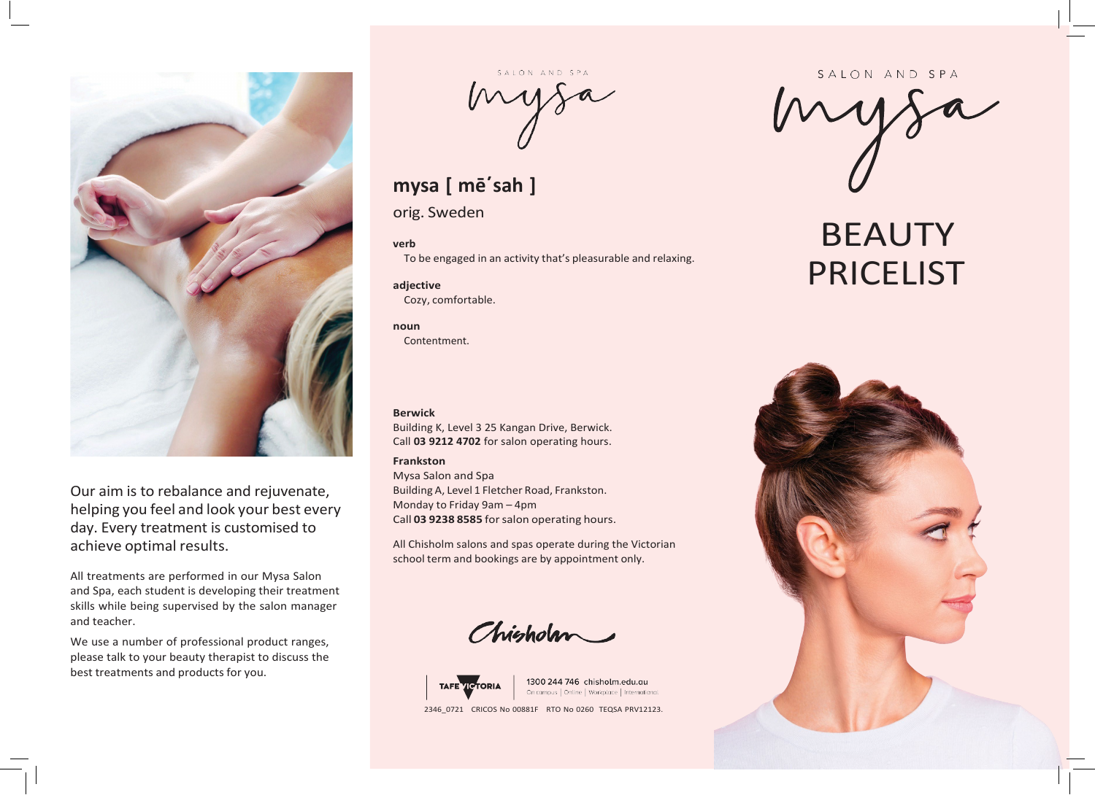

Our aim is to rebalance and rejuvenate, helping you feel and look your best every day. Every treatment is customised to achieve optimal results.

All treatments are performed in our Mysa Salon and Spa, each student is developing their treatment skills while being supervised by the salon manager and teacher.

We use a number of professional product ranges, please talk to your beauty therapist to discuss the best treatments and products for you.

# mysa

# **mysa [ mē΄sah ]**

orig. Sweden

# **verb**

To be engaged in an activity that's pleasurable and relaxing.

# **adjective** Cozy, comfortable.

**noun**

Contentment.

## **Berwick**

Building K, Level 3 25 Kangan Drive, Berwick. Call **03 9212 4702** for salon operating hours.

# **Frankston**

Mysa Salon and Spa Building A, Level 1 Fletcher Road, Frankston. Monday to Friday 9am – 4pm Call **03 9238 8585** forsalon operating hours.

All Chisholm salons and spas operate during the Victorian school term and bookings are by appointment only.

Chisholm



1300 244 746 chisholm.edu.au On campus | Online | Workplace | International 2346\_0721 CRICOS No 00881F RTO No 0260 TEQSA PRV12123.

#### SALON AND SPA

# BEAUTY PRICELIST